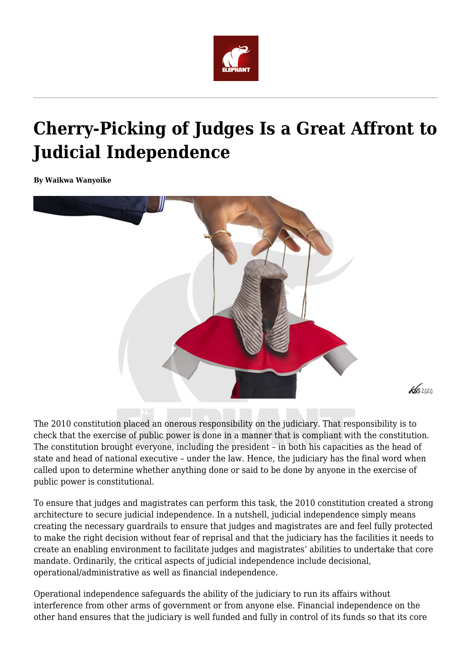

# **Cherry-Picking of Judges Is a Great Affront to Judicial Independence**

**By Waikwa Wanyoike**



The 2010 constitution placed an onerous responsibility on the judiciary. That responsibility is to check that the exercise of public power is done in a manner that is compliant with the constitution. The constitution brought everyone, including the president – in both his capacities as the head of state and head of national executive – under the law. Hence, the judiciary has the final word when called upon to determine whether anything done or said to be done by anyone in the exercise of public power is constitutional.

To ensure that judges and magistrates can perform this task, the 2010 constitution created a strong architecture to secure judicial independence. In a nutshell, judicial independence simply means creating the necessary guardrails to ensure that judges and magistrates are and feel fully protected to make the right decision without fear of reprisal and that the judiciary has the facilities it needs to create an enabling environment to facilitate judges and magistrates' abilities to undertake that core mandate. Ordinarily, the critical aspects of judicial independence include decisional, operational/administrative as well as financial independence.

Operational independence safeguards the ability of the judiciary to run its affairs without interference from other arms of government or from anyone else. Financial independence on the other hand ensures that the judiciary is well funded and fully in control of its funds so that its core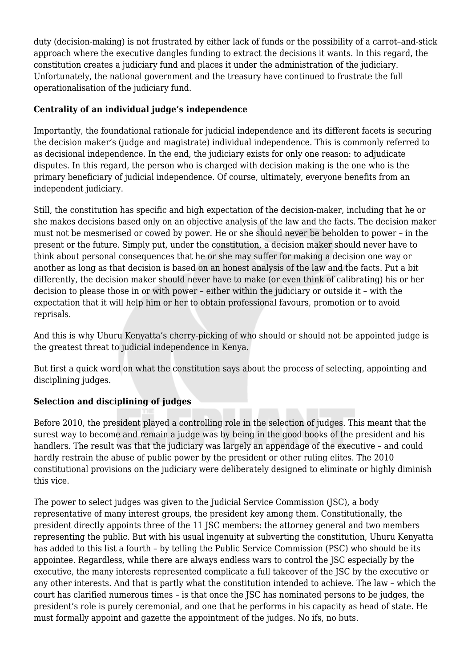duty (decision-making) is not frustrated by either lack of funds or the possibility of a carrot–and-stick approach where the executive dangles funding to extract the decisions it wants. In this regard, the constitution creates a judiciary fund and places it under the administration of the judiciary. Unfortunately, the national government and the treasury have continued to frustrate the full operationalisation of the judiciary fund.

### **Centrality of an individual judge's independence**

Importantly, the foundational rationale for judicial independence and its different facets is securing the decision maker's (judge and magistrate) individual independence. This is commonly referred to as decisional independence. In the end, the judiciary exists for only one reason: to adjudicate disputes. In this regard, the person who is charged with decision making is the one who is the primary beneficiary of judicial independence. Of course, ultimately, everyone benefits from an independent judiciary.

Still, the constitution has specific and high expectation of the decision-maker, including that he or she makes decisions based only on an objective analysis of the law and the facts. The decision maker must not be mesmerised or cowed by power. He or she should never be beholden to power – in the present or the future. Simply put, under the constitution, a decision maker should never have to think about personal consequences that he or she may suffer for making a decision one way or another as long as that decision is based on an honest analysis of the law and the facts. Put a bit differently, the decision maker should never have to make (or even think of calibrating) his or her decision to please those in or with power – either within the judiciary or outside it – with the expectation that it will help him or her to obtain professional favours, promotion or to avoid reprisals.

And this is why Uhuru Kenyatta's cherry-picking of who should or should not be appointed judge is the greatest threat to judicial independence in Kenya.

But first a quick word on what the constitution says about the process of selecting, appointing and disciplining judges.

# **Selection and disciplining of judges**

Before 2010, the president played a controlling role in the selection of judges. This meant that the surest way to become and remain a judge was by being in the good books of the president and his handlers. The result was that the judiciary was largely an appendage of the executive – and could hardly restrain the abuse of public power by the president or other ruling elites. The 2010 constitutional provisions on the judiciary were deliberately designed to eliminate or highly diminish this vice.

The power to select judges was given to the Judicial Service Commission (JSC), a body representative of many interest groups, the president key among them. Constitutionally, the president directly appoints three of the 11 JSC members: the attorney general and two members representing the public. But with his usual ingenuity at subverting the constitution, Uhuru Kenyatta has added to this list a fourth – by telling the Public Service Commission (PSC) who should be its appointee. Regardless, while there are always endless wars to control the JSC especially by the executive, the many interests represented complicate a full takeover of the JSC by the executive or any other interests. And that is partly what the constitution intended to achieve. The law – which the court has clarified numerous times – is that once the JSC has nominated persons to be judges, the president's role is purely ceremonial, and one that he performs in his capacity as head of state. He must formally appoint and gazette the appointment of the judges. No ifs, no buts.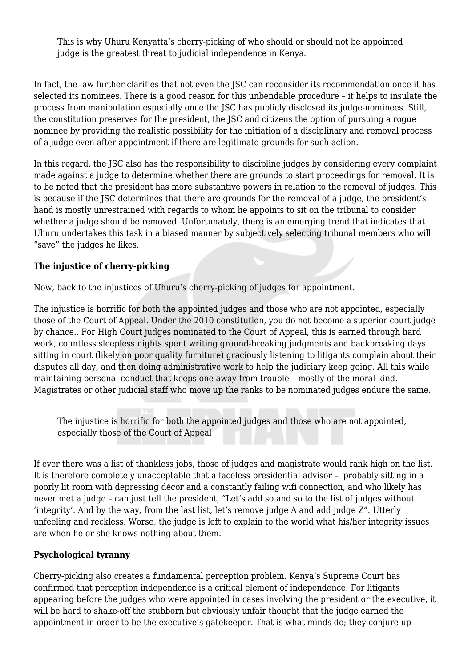This is why Uhuru Kenyatta's cherry-picking of who should or should not be appointed judge is the greatest threat to judicial independence in Kenya.

In fact, the law further clarifies that not even the JSC can reconsider its recommendation once it has selected its nominees. There is a good reason for this unbendable procedure – it helps to insulate the process from manipulation especially once the JSC has publicly disclosed its judge-nominees. Still, the constitution preserves for the president, the JSC and citizens the option of pursuing a rogue nominee by providing the realistic possibility for the initiation of a disciplinary and removal process of a judge even after appointment if there are legitimate grounds for such action.

In this regard, the JSC also has the responsibility to discipline judges by considering every complaint made against a judge to determine whether there are grounds to start proceedings for removal. It is to be noted that the president has more substantive powers in relation to the removal of judges. This is because if the JSC determines that there are grounds for the removal of a judge, the president's hand is mostly unrestrained with regards to whom he appoints to sit on the tribunal to consider whether a judge should be removed. Unfortunately, there is an emerging trend that indicates that Uhuru undertakes this task in a biased manner by subjectively selecting tribunal members who will "save" the judges he likes.

## **The injustice of cherry-picking**

Now, back to the injustices of Uhuru's cherry-picking of judges for appointment.

The injustice is horrific for both the appointed judges and those who are not appointed, especially those of the Court of Appeal. Under the 2010 constitution, you do not become a superior court judge by chance.. For High Court judges nominated to the Court of Appeal, this is earned through hard work, countless sleepless nights spent writing ground-breaking judgments and backbreaking days sitting in court (likely on poor quality furniture) graciously listening to litigants complain about their disputes all day, and then doing administrative work to help the judiciary keep going. All this while maintaining personal conduct that keeps one away from trouble – mostly of the moral kind. Magistrates or other judicial staff who move up the ranks to be nominated judges endure the same.

The injustice is horrific for both the appointed judges and those who are not appointed, especially those of the Court of Appeal

If ever there was a list of thankless jobs, those of judges and magistrate would rank high on the list. It is therefore completely unacceptable that a faceless presidential advisor – probably sitting in a poorly lit room with depressing décor and a constantly failing wifi connection, and who likely has never met a judge – can just tell the president, "Let's add so and so to the list of judges without 'integrity'. And by the way, from the last list, let's remove judge A and add judge Z". Utterly unfeeling and reckless. Worse, the judge is left to explain to the world what his/her integrity issues are when he or she knows nothing about them.

#### **Psychological tyranny**

Cherry-picking also creates a fundamental perception problem. Kenya's Supreme Court has confirmed that perception independence is a critical element of independence. For litigants appearing before the judges who were appointed in cases involving the president or the executive, it will be hard to shake-off the stubborn but obviously unfair thought that the judge earned the appointment in order to be the executive's gatekeeper. That is what minds do; they conjure up